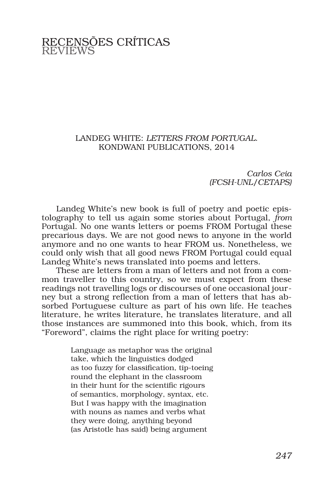## RECENSÕES CRÍTICAS REVIEWS

## LANDEG WHITE: *LETTERS FROM PORTUGAL*. KONDWANI PUBLICATIONS, 2014

*Carlos Ceia (FCSH-UNL/CETAPS)*

Landeg White's new book is full of poetry and poetic epistolography to tell us again some stories about Portugal, *from* Portugal. No one wants letters or poems FROM Portugal these precarious days. We are not good news to anyone in the world anymore and no one wants to hear FROM us. Nonetheless, we could only wish that all good news FROM Portugal could equal Landeg White's news translated into poems and letters.

These are letters from a man of letters and not from a common traveller to this country, so we must expect from these readings not travelling logs or discourses of one occasional journey but a strong reflection from a man of letters that has absorbed Portuguese culture as part of his own life. He teaches literature, he writes literature, he translates literature, and all those instances are summoned into this book, which, from its "Foreword", claims the right place for writing poetry:

> Language as metaphor was the original take, which the linguistics dodged as too fuzzy for classification, tip-toeing round the elephant in the classroom in their hunt for the scientific rigours of semantics, morphology, syntax, etc. But I was happy with the imagination with nouns as names and verbs what they were doing, anything beyond (as Aristotle has said) being argument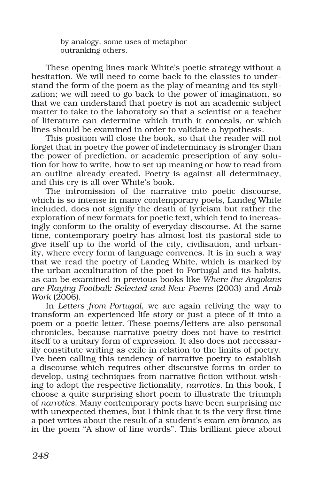by analogy, some uses of metaphor outranking others.

These opening lines mark White's poetic strategy without a hesitation. We will need to come back to the classics to understand the form of the poem as the play of meaning and its stylization; we will need to go back to the power of imagination, so that we can understand that poetry is not an academic subject matter to take to the laboratory so that a scientist or a teacher of literature can determine which truth it conceals, or which lines should be examined in order to validate a hypothesis.

This position will close the book, so that the reader will not forget that in poetry the power of indeterminacy is stronger than the power of prediction, or academic prescription of any solution for how to write, how to set up meaning or how to read from an outline already created. Poetry is against all determinacy, and this cry is all over White's book.

The intromission of the narrative into poetic discourse, which is so intense in many contemporary poets, Landeg White included, does not signify the death of lyricism but rather the exploration of new formats for poetic text, which tend to increasingly conform to the orality of everyday discourse. At the same time, contemporary poetry has almost lost its pastoral side to give itself up to the world of the city, civilisation, and urbanity, where every form of language convenes. It is in such a way that we read the poetry of Landeg White, which is marked by the urban acculturation of the poet to Portugal and its habits, as can be examined in previous books like *Where the Angolans are Playing Football: Selected and New Poems* (2003) and *Arab Work* (2006).

In *Letters from Portugal*, we are again reliving the way to transform an experienced life story or just a piece of it into a poem or a poetic letter. These poems/letters are also personal chronicles, because narrative poetry does not have to restrict itself to a unitary form of expression. It also does not necessarily constitute writing as exile in relation to the limits of poetry. I've been calling this tendency of narrative poetry to establish a discourse which requires other discursive forms in order to develop, using techniques from narrative fiction without wishing to adopt the respective fictionality, *narrotics*. In this book, I choose a quite surprising short poem to illustrate the triumph of *narrotics*. Many contemporary poets have been surprising me with unexpected themes, but I think that it is the very first time a poet writes about the result of a student's exam *em branco*, as in the poem "A show of fine words". This brilliant piece about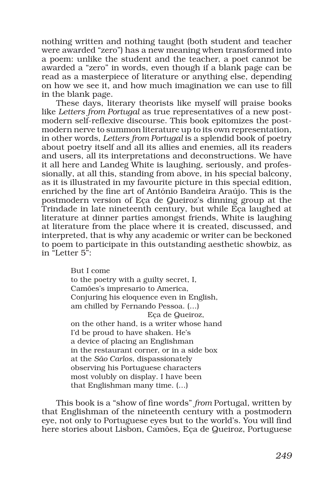nothing written and nothing taught (both student and teacher were awarded "zero") has a new meaning when transformed into a poem: unlike the student and the teacher, a poet cannot be awarded a "zero" in words, even though if a blank page can be read as a masterpiece of literature or anything else, depending on how we see it, and how much imagination we can use to fill in the blank page.

These days, literary theorists like myself will praise books like *Letters from Portugal* as true representatives of a new postmodern self-reflexive discourse. This book epitomizes the postmodern nerve to summon literature up to its own representation, in other words, *Letters from Portugal* is a splendid book of poetry about poetry itself and all its allies and enemies, all its readers and users, all its interpretations and deconstructions. We have it all here and Landeg White is laughing, seriously, and professionally, at all this, standing from above, in his special balcony, as it is illustrated in my favourite picture in this special edition, enriched by the fine art of António Bandeira Araújo. This is the postmodern version of Eça de Queiroz's dinning group at the Trindade in late nineteenth century, but while Eça laughed at literature at dinner parties amongst friends, White is laughing at literature from the place where it is created, discussed, and interpreted, that is why any academic or writer can be beckoned to poem to participate in this outstanding aesthetic showbiz, as in "Letter 5":

> But I come to the poetry with a guilty secret, I, Camões's impresario to America, Conjuring his eloquence even in English, am chilled by Fernando Pessoa. (…) Eça de Queiroz, on the other hand, is a writer whose hand I'd be proud to have shaken. He's a device of placing an Englishman in the restaurant corner, or in a side box at the *São Carlos*, dispassionately observing his Portuguese characters most volubly on display. I have been that Englishman many time. (…)

This book is a "show of fine words" *from* Portugal, written by that Englishman of the nineteenth century with a postmodern eye, not only to Portuguese eyes but to the world's. You will find here stories about Lisbon, Camões, Eça de Queiroz, Portuguese